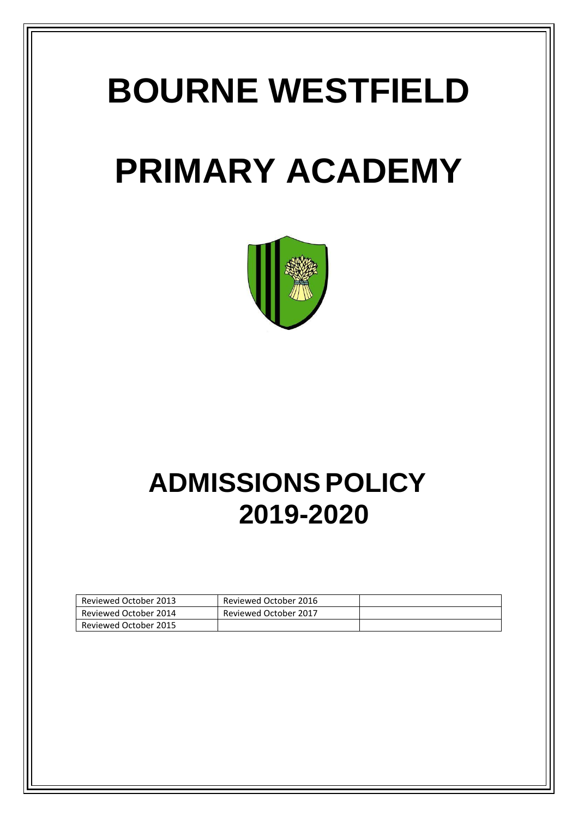# **BOURNE WESTFIELD**

## **PRIMARY ACADEMY**



## **ADMISSIONS POLICY 2019-2020**

| Reviewed October 2013 | Reviewed October 2016 |  |
|-----------------------|-----------------------|--|
| Reviewed October 2014 | Reviewed October 2017 |  |
| Reviewed October 2015 |                       |  |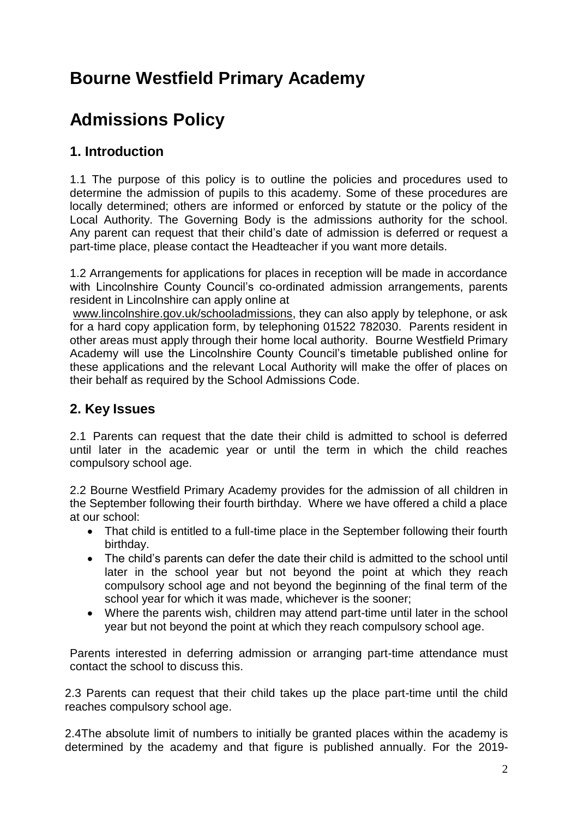### **Bourne Westfield Primary Academy**

### **Admissions Policy**

#### **1. Introduction**

1.1 The purpose of this policy is to outline the policies and procedures used to determine the admission of pupils to this academy. Some of these procedures are locally determined; others are informed or enforced by statute or the policy of the Local Authority. The Governing Body is the admissions authority for the school. Any parent can request that their child's date of admission is deferred or request a part-time place, please contact the Headteacher if you want more details.

1.2 Arrangements for applications for places in reception will be made in accordance with Lincolnshire County Council's co-ordinated admission arrangements, parents resident in Lincolnshire can apply online at

[www.lincolnshire.gov.uk/schooladmissions,](http://www.lincolnshire.gov.uk/schooladmissions) they can also apply by telephone, or ask for a hard copy application form, by telephoning 01522 782030. Parents resident in other areas must apply through their home local authority. Bourne Westfield Primary Academy will use the Lincolnshire County Council's timetable published online for these applications and the relevant Local Authority will make the offer of places on their behalf as required by the School Admissions Code.

#### **2. Key Issues**

2.1 Parents can request that the date their child is admitted to school is deferred until later in the academic year or until the term in which the child reaches compulsory school age.

2.2 Bourne Westfield Primary Academy provides for the admission of all children in the September following their fourth birthday. Where we have offered a child a place at our school:

- That child is entitled to a full-time place in the September following their fourth birthday.
- The child's parents can defer the date their child is admitted to the school until later in the school year but not beyond the point at which they reach compulsory school age and not beyond the beginning of the final term of the school year for which it was made, whichever is the sooner;
- Where the parents wish, children may attend part-time until later in the school year but not beyond the point at which they reach compulsory school age.

Parents interested in deferring admission or arranging part-time attendance must contact the school to discuss this.

2.3 Parents can request that their child takes up the place part-time until the child reaches compulsory school age.

2.4The absolute limit of numbers to initially be granted places within the academy is determined by the academy and that figure is published annually. For the 2019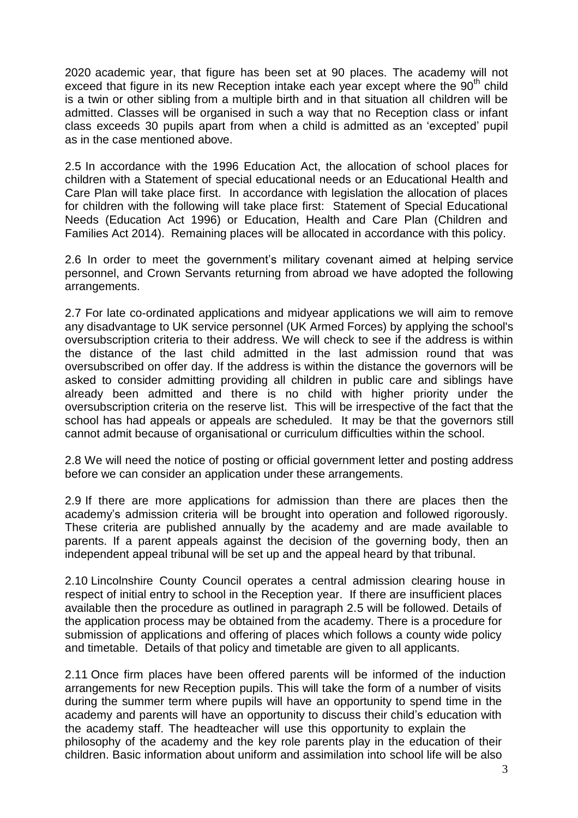2020 academic year, that figure has been set at 90 places. The academy will not exceed that figure in its new Reception intake each year except where the  $90<sup>th</sup>$  child is a twin or other sibling from a multiple birth and in that situation all children will be admitted. Classes will be organised in such a way that no Reception class or infant class exceeds 30 pupils apart from when a child is admitted as an 'excepted' pupil as in the case mentioned above.

2.5 In accordance with the 1996 Education Act, the allocation of school places for children with a Statement of special educational needs or an Educational Health and Care Plan will take place first. In accordance with legislation the allocation of places for children with the following will take place first: Statement of Special Educational Needs (Education Act 1996) or Education, Health and Care Plan (Children and Families Act 2014). Remaining places will be allocated in accordance with this policy.

2.6 In order to meet the government's military covenant aimed at helping service personnel, and Crown Servants returning from abroad we have adopted the following arrangements.

2.7 For late co-ordinated applications and midyear applications we will aim to remove any disadvantage to UK service personnel (UK Armed Forces) by applying the school's oversubscription criteria to their address. We will check to see if the address is within the distance of the last child admitted in the last admission round that was oversubscribed on offer day. If the address is within the distance the governors will be asked to consider admitting providing all children in public care and siblings have already been admitted and there is no child with higher priority under the oversubscription criteria on the reserve list. This will be irrespective of the fact that the school has had appeals or appeals are scheduled. It may be that the governors still cannot admit because of organisational or curriculum difficulties within the school.

2.8 We will need the notice of posting or official government letter and posting address before we can consider an application under these arrangements.

2.9 If there are more applications for admission than there are places then the academy's admission criteria will be brought into operation and followed rigorously. These criteria are published annually by the academy and are made available to parents. If a parent appeals against the decision of the governing body, then an independent appeal tribunal will be set up and the appeal heard by that tribunal.

2.10 Lincolnshire County Council operates a central admission clearing house in respect of initial entry to school in the Reception year. If there are insufficient places available then the procedure as outlined in paragraph 2.5 will be followed. Details of the application process may be obtained from the academy. There is a procedure for submission of applications and offering of places which follows a county wide policy and timetable. Details of that policy and timetable are given to all applicants.

2.11 Once firm places have been offered parents will be informed of the induction arrangements for new Reception pupils. This will take the form of a number of visits during the summer term where pupils will have an opportunity to spend time in the academy and parents will have an opportunity to discuss their child's education with the academy staff. The headteacher will use this opportunity to explain the philosophy of the academy and the key role parents play in the education of their children. Basic information about uniform and assimilation into school life will be also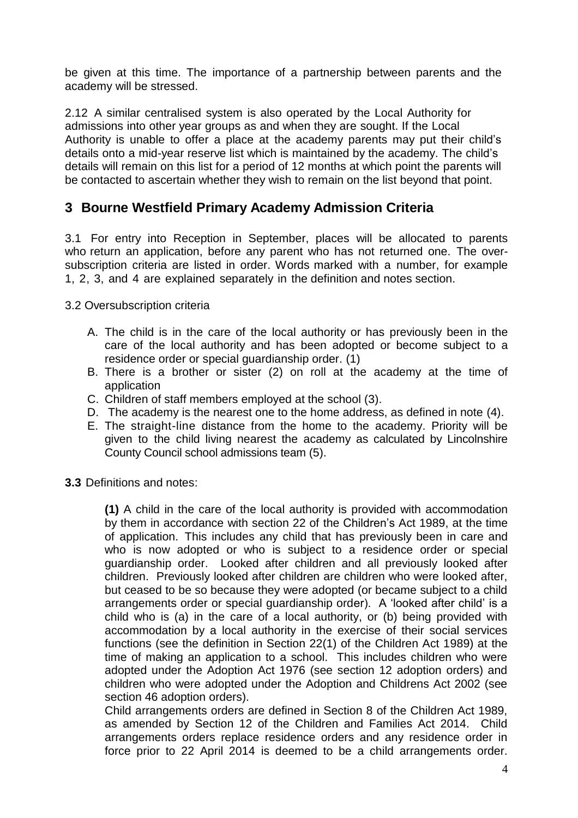be given at this time. The importance of a partnership between parents and the academy will be stressed.

2.12 A similar centralised system is also operated by the Local Authority for admissions into other year groups as and when they are sought. If the Local Authority is unable to offer a place at the academy parents may put their child's details onto a mid-year reserve list which is maintained by the academy. The child's details will remain on this list for a period of 12 months at which point the parents will be contacted to ascertain whether they wish to remain on the list beyond that point.

#### **3 Bourne Westfield Primary Academy Admission Criteria**

3.1 For entry into Reception in September, places will be allocated to parents who return an application, before any parent who has not returned one. The oversubscription criteria are listed in order. Words marked with a number, for example 1, 2, 3, and 4 are explained separately in the definition and notes section.

3.2 Oversubscription criteria

- A. The child is in the care of the local authority or has previously been in the care of the local authority and has been adopted or become subject to a residence order or special guardianship order. (1)
- B. There is a brother or sister (2) on roll at the academy at the time of application
- C. Children of staff members employed at the school (3).
- D. The academy is the nearest one to the home address, as defined in note (4).
- E. The straight-line distance from the home to the academy. Priority will be given to the child living nearest the academy as calculated by Lincolnshire County Council school admissions team (5).
- **3.3** Definitions and notes:

**(1)** A child in the care of the local authority is provided with accommodation by them in accordance with section 22 of the Children's Act 1989, at the time of application. This includes any child that has previously been in care and who is now adopted or who is subject to a residence order or special guardianship order. Looked after children and all previously looked after children. Previously looked after children are children who were looked after, but ceased to be so because they were adopted (or became subject to a child arrangements order or special guardianship order). A 'looked after child' is a child who is (a) in the care of a local authority, or (b) being provided with accommodation by a local authority in the exercise of their social services functions (see the definition in Section 22(1) of the Children Act 1989) at the time of making an application to a school. This includes children who were adopted under the Adoption Act 1976 (see section 12 adoption orders) and children who were adopted under the Adoption and Childrens Act 2002 (see section 46 adoption orders).

Child arrangements orders are defined in Section 8 of the Children Act 1989, as amended by Section 12 of the Children and Families Act 2014. Child arrangements orders replace residence orders and any residence order in force prior to 22 April 2014 is deemed to be a child arrangements order.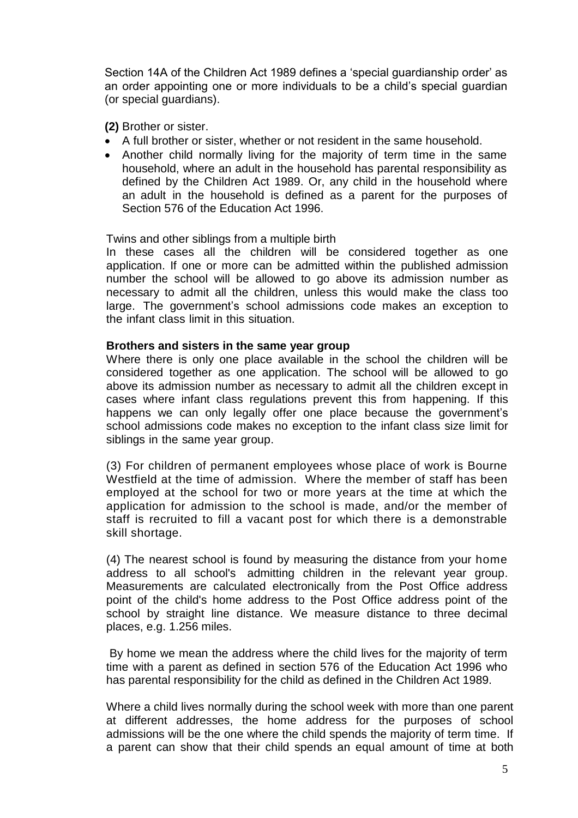Section 14A of the Children Act 1989 defines a 'special guardianship order' as an order appointing one or more individuals to be a child's special guardian (or special guardians).

**(2)** Brother or sister.

- A full brother or sister, whether or not resident in the same household.
- Another child normally living for the majority of term time in the same household, where an adult in the household has parental responsibility as defined by the Children Act 1989. Or, any child in the household where an adult in the household is defined as a parent for the purposes of Section 576 of the Education Act 1996.

#### Twins and other siblings from a multiple birth

In these cases all the children will be considered together as one application. If one or more can be admitted within the published admission number the school will be allowed to go above its admission number as necessary to admit all the children, unless this would make the class too large. The government's school admissions code makes an exception to the infant class limit in this situation.

#### **Brothers and sisters in the same year group**

Where there is only one place available in the school the children will be considered together as one application. The school will be allowed to go above its admission number as necessary to admit all the children except in cases where infant class regulations prevent this from happening. If this happens we can only legally offer one place because the government's school admissions code makes no exception to the infant class size limit for siblings in the same year group.

(3) For children of permanent employees whose place of work is Bourne Westfield at the time of admission. Where the member of staff has been employed at the school for two or more years at the time at which the application for admission to the school is made, and/or the member of staff is recruited to fill a vacant post for which there is a demonstrable skill shortage.

(4) The nearest school is found by measuring the distance from your home address to all school's admitting children in the relevant year group. Measurements are calculated electronically from the Post Office address point of the child's home address to the Post Office address point of the school by straight line distance. We measure distance to three decimal places, e.g. 1.256 miles.

By home we mean the address where the child lives for the majority of term time with a parent as defined in section 576 of the Education Act 1996 who has parental responsibility for the child as defined in the Children Act 1989.

Where a child lives normally during the school week with more than one parent at different addresses, the home address for the purposes of school admissions will be the one where the child spends the majority of term time. If a parent can show that their child spends an equal amount of time at both